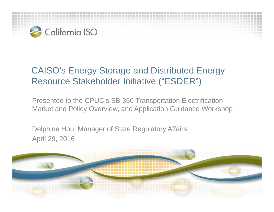

#### CAISO's Energy Storage and Distributed Energy Resource Stakeholder Initiative ("ESDER")

Presented to the CPUC's SB 350 Transportation Electrification Market and Policy Overview, and Application Guidance Workshop

Delphine Hou, Manager of State Regulatory Affairs April 29, 2016

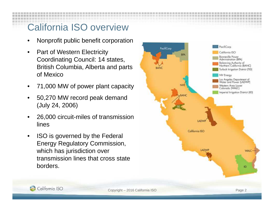# California ISO overview

- Nonprofit public benefit corporation
- Part of Western Electricity Coordinating Council: 14 states, British Columbia, Alberta and parts of Mexico
- 71,000 MW of power plant capacity
- 50,270 MW record peak demand (July 24, 2006)
- 26,000 circuit-miles of transmission lines
- ISO is governed by the Federal Energy Regulatory Commission, which has jurisdiction over transmission lines that cross state borders.



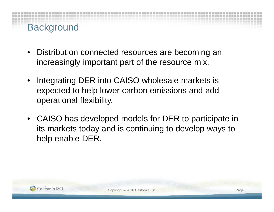

- Distribution connected resources are becoming an increasingly important part of the resource mix.
- Integrating DER into CAISO wholesale markets is expected to help lower carbon emissions and add operational flexibility.
- CAISO has developed models for DER to participate in its markets today and is continuing to develop ways to help enable DER.

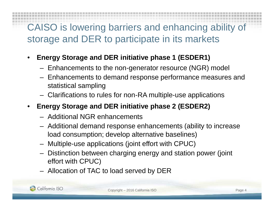## CAISO is lowering barriers and enhancing ability of storage and DER to participate in its markets

- **Energy Storage and DER initiative phase 1 (ESDER1)**
	- Enhancements to the non-generator resource (NGR) model
	- Enhancements to demand response performance measures and statistical sampling
	- Clarifications to rules for non-RA multiple-use applications
- **Energy Storage and DER initiative phase 2 (ESDER2)**
	- Additional NGR enhancements
	- Additional demand response enhancements (ability to increase load consumption; develop alternative baselines)
	- Multiple-use applications (joint effort with CPUC)
	- Distinction between charging energy and station power (joint effort with CPUC)
	- Allocation of TAC to load served by DER

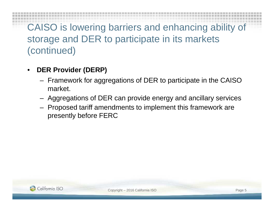## CAISO is lowering barriers and enhancing ability of storage and DER to participate in its markets (continued)

- **DER Provider (DERP)**
	- Framework for aggregations of DER to participate in the CAISO market.
	- Aggregations of DER can provide energy and ancillary services
	- Proposed tariff amendments to implement this framework are presently before FERC